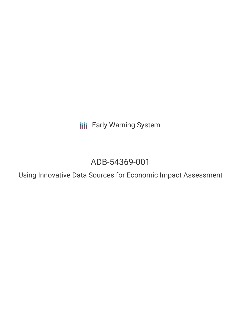**III** Early Warning System

# ADB-54369-001

Using Innovative Data Sources for Economic Impact Assessment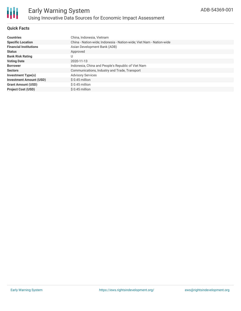

# **Quick Facts**

| <b>Countries</b>               | China, Indonesia, Vietnam                                            |
|--------------------------------|----------------------------------------------------------------------|
| <b>Specific Location</b>       | China - Nation-wide; Indonesia - Nation-wide; Viet Nam - Nation-wide |
| <b>Financial Institutions</b>  | Asian Development Bank (ADB)                                         |
| <b>Status</b>                  | Approved                                                             |
| <b>Bank Risk Rating</b>        | U                                                                    |
| <b>Voting Date</b>             | 2020-11-13                                                           |
| <b>Borrower</b>                | Indonesia, China and People's Republic of Viet Nam                   |
| <b>Sectors</b>                 | Communications, Industry and Trade, Transport                        |
| Investment Type(s)             | <b>Advisory Services</b>                                             |
| <b>Investment Amount (USD)</b> | $$0.45$ million                                                      |
| <b>Grant Amount (USD)</b>      | $$0.45$ million                                                      |
| <b>Project Cost (USD)</b>      | $$0.45$ million                                                      |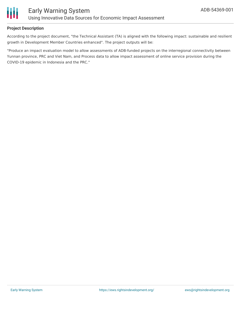

# **Project Description**

According to the project document, "the Technical Assistant (TA) is aligned with the following impact: sustainable and resilient growth in Development Member Countries enhanced". The project outputs will be:

"Produce an impact evaluation model to allow assessments of ADB-funded projects on the interregional connectivity between Yunnan province, PRC and Viet Nam, and Process data to allow impact assessment of online service provision during the COVID-19 epidemic in Indonesia and the PRC."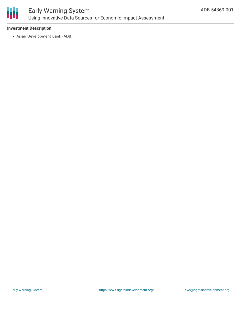

# **Investment Description**

Asian Development Bank (ADB)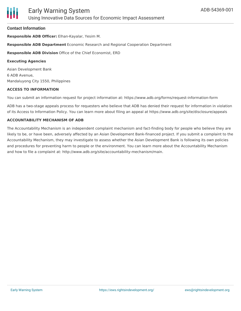# **Contact Information**

**Responsible ADB Officer:** Elhan-Kayalar, Yesim M.

**Responsible ADB Department** Economic Research and Regional Cooperation Department

**Responsible ADB Division** Office of the Chief Economist, ERD

#### **Executing Agencies**

Asian Development Bank 6 ADB Avenue, Mandaluyong City 1550, Philippines

#### **ACCESS TO INFORMATION**

You can submit an information request for project information at: https://www.adb.org/forms/request-information-form

ADB has a two-stage appeals process for requesters who believe that ADB has denied their request for information in violation of its Access to Information Policy. You can learn more about filing an appeal at https://www.adb.org/site/disclosure/appeals

#### **ACCOUNTABILITY MECHANISM OF ADB**

The Accountability Mechanism is an independent complaint mechanism and fact-finding body for people who believe they are likely to be, or have been, adversely affected by an Asian Development Bank-financed project. If you submit a complaint to the Accountability Mechanism, they may investigate to assess whether the Asian Development Bank is following its own policies and procedures for preventing harm to people or the environment. You can learn more about the Accountability Mechanism and how to file a complaint at: http://www.adb.org/site/accountability-mechanism/main.